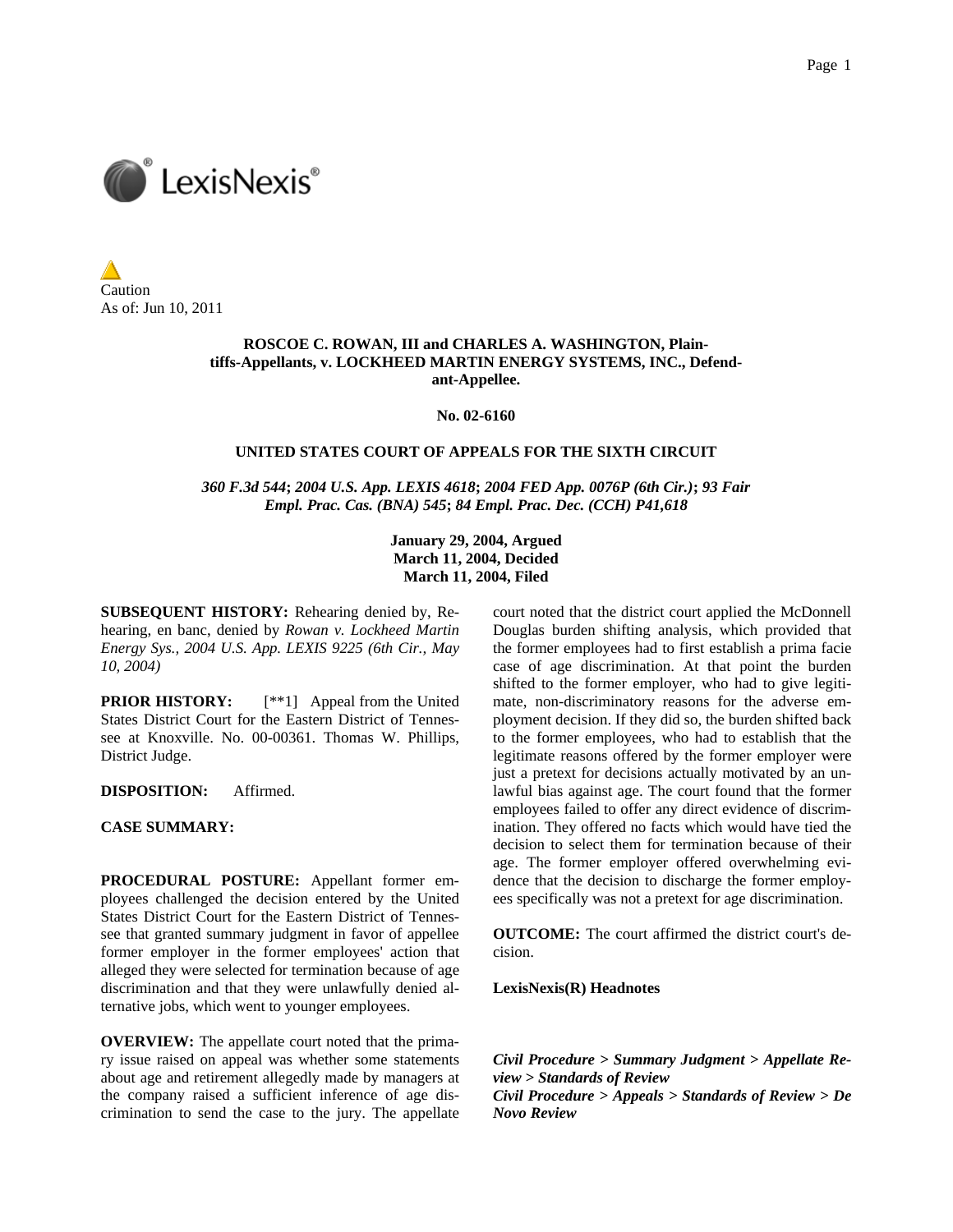

Caution As of: Jun 10, 2011

### **ROSCOE C. ROWAN, III and CHARLES A. WASHINGTON, Plaintiffs-Appellants, v. LOCKHEED MARTIN ENERGY SYSTEMS, INC., Defendant-Appellee.**

**No. 02-6160** 

### **UNITED STATES COURT OF APPEALS FOR THE SIXTH CIRCUIT**

*360 F.3d 544***;** *2004 U.S. App. LEXIS 4618***;** *2004 FED App. 0076P (6th Cir.)***;** *93 Fair Empl. Prac. Cas. (BNA) 545***;** *84 Empl. Prac. Dec. (CCH) P41,618*

> **January 29, 2004, Argued March 11, 2004, Decided March 11, 2004, Filed**

**SUBSEQUENT HISTORY:** Rehearing denied by, Rehearing, en banc, denied by *Rowan v. Lockheed Martin Energy Sys., 2004 U.S. App. LEXIS 9225 (6th Cir., May 10, 2004)*

**PRIOR HISTORY:** [\*\*1] Appeal from the United States District Court for the Eastern District of Tennessee at Knoxville. No. 00-00361. Thomas W. Phillips, District Judge.

**DISPOSITION:** Affirmed.

**CASE SUMMARY:**

**PROCEDURAL POSTURE:** Appellant former employees challenged the decision entered by the United States District Court for the Eastern District of Tennessee that granted summary judgment in favor of appellee former employer in the former employees' action that alleged they were selected for termination because of age discrimination and that they were unlawfully denied alternative jobs, which went to younger employees.

**OVERVIEW:** The appellate court noted that the primary issue raised on appeal was whether some statements about age and retirement allegedly made by managers at the company raised a sufficient inference of age discrimination to send the case to the jury. The appellate

court noted that the district court applied the McDonnell Douglas burden shifting analysis, which provided that the former employees had to first establish a prima facie case of age discrimination. At that point the burden shifted to the former employer, who had to give legitimate, non-discriminatory reasons for the adverse employment decision. If they did so, the burden shifted back to the former employees, who had to establish that the legitimate reasons offered by the former employer were just a pretext for decisions actually motivated by an unlawful bias against age. The court found that the former employees failed to offer any direct evidence of discrimination. They offered no facts which would have tied the decision to select them for termination because of their age. The former employer offered overwhelming evidence that the decision to discharge the former employees specifically was not a pretext for age discrimination.

**OUTCOME:** The court affirmed the district court's decision.

**LexisNexis(R) Headnotes**

*Civil Procedure > Summary Judgment > Appellate Review > Standards of Review Civil Procedure > Appeals > Standards of Review > De Novo Review*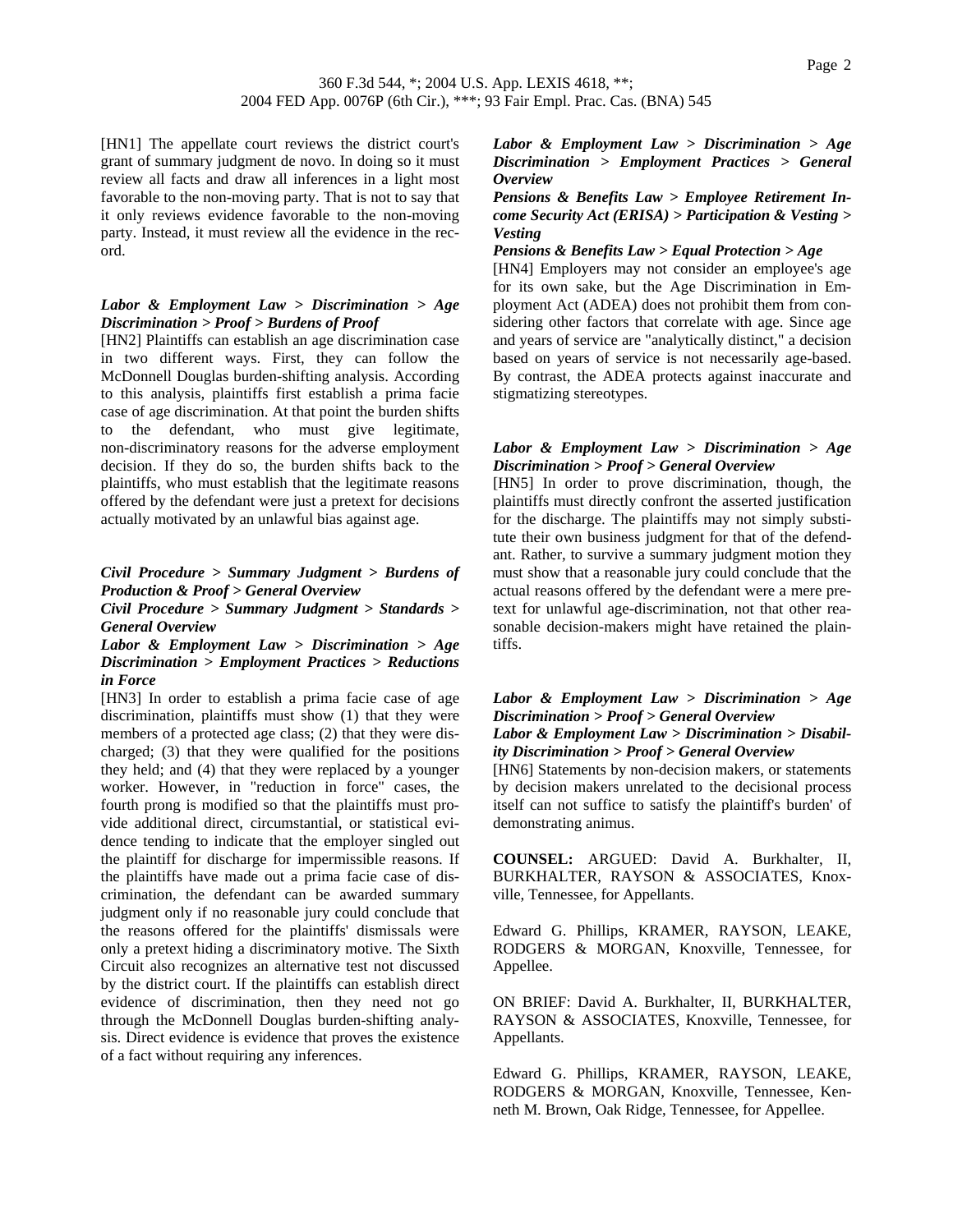[HN1] The appellate court reviews the district court's grant of summary judgment de novo. In doing so it must review all facts and draw all inferences in a light most favorable to the non-moving party. That is not to say that it only reviews evidence favorable to the non-moving party. Instead, it must review all the evidence in the record.

## *Labor & Employment Law > Discrimination > Age Discrimination > Proof > Burdens of Proof*

[HN2] Plaintiffs can establish an age discrimination case in two different ways. First, they can follow the McDonnell Douglas burden-shifting analysis. According to this analysis, plaintiffs first establish a prima facie case of age discrimination. At that point the burden shifts to the defendant, who must give legitimate, non-discriminatory reasons for the adverse employment decision. If they do so, the burden shifts back to the plaintiffs, who must establish that the legitimate reasons offered by the defendant were just a pretext for decisions actually motivated by an unlawful bias against age.

# *Civil Procedure > Summary Judgment > Burdens of Production & Proof > General Overview*

*Civil Procedure > Summary Judgment > Standards > General Overview*

### *Labor & Employment Law > Discrimination > Age Discrimination > Employment Practices > Reductions in Force*

[HN3] In order to establish a prima facie case of age discrimination, plaintiffs must show (1) that they were members of a protected age class; (2) that they were discharged; (3) that they were qualified for the positions they held; and (4) that they were replaced by a younger worker. However, in "reduction in force" cases, the fourth prong is modified so that the plaintiffs must provide additional direct, circumstantial, or statistical evidence tending to indicate that the employer singled out the plaintiff for discharge for impermissible reasons. If the plaintiffs have made out a prima facie case of discrimination, the defendant can be awarded summary judgment only if no reasonable jury could conclude that the reasons offered for the plaintiffs' dismissals were only a pretext hiding a discriminatory motive. The Sixth Circuit also recognizes an alternative test not discussed by the district court. If the plaintiffs can establish direct evidence of discrimination, then they need not go through the McDonnell Douglas burden-shifting analysis. Direct evidence is evidence that proves the existence of a fact without requiring any inferences.

## *Labor & Employment Law > Discrimination > Age Discrimination > Employment Practices > General Overview*

### *Pensions & Benefits Law > Employee Retirement Income Security Act (ERISA) > Participation & Vesting > Vesting*

#### *Pensions & Benefits Law > Equal Protection > Age*

[HN4] Employers may not consider an employee's age for its own sake, but the Age Discrimination in Employment Act (ADEA) does not prohibit them from considering other factors that correlate with age. Since age and years of service are "analytically distinct," a decision based on years of service is not necessarily age-based. By contrast, the ADEA protects against inaccurate and stigmatizing stereotypes.

## *Labor & Employment Law > Discrimination > Age Discrimination > Proof > General Overview*

[HN5] In order to prove discrimination, though, the plaintiffs must directly confront the asserted justification for the discharge. The plaintiffs may not simply substitute their own business judgment for that of the defendant. Rather, to survive a summary judgment motion they must show that a reasonable jury could conclude that the actual reasons offered by the defendant were a mere pretext for unlawful age-discrimination, not that other reasonable decision-makers might have retained the plaintiffs.

## *Labor & Employment Law > Discrimination > Age Discrimination > Proof > General Overview Labor & Employment Law > Discrimination > Disability Discrimination > Proof > General Overview*

[HN6] Statements by non-decision makers, or statements by decision makers unrelated to the decisional process itself can not suffice to satisfy the plaintiff's burden' of demonstrating animus.

**COUNSEL:** ARGUED: David A. Burkhalter, II, BURKHALTER, RAYSON & ASSOCIATES, Knoxville, Tennessee, for Appellants.

Edward G. Phillips, KRAMER, RAYSON, LEAKE, RODGERS & MORGAN, Knoxville, Tennessee, for Appellee.

ON BRIEF: David A. Burkhalter, II, BURKHALTER, RAYSON & ASSOCIATES, Knoxville, Tennessee, for Appellants.

Edward G. Phillips, KRAMER, RAYSON, LEAKE, RODGERS & MORGAN, Knoxville, Tennessee, Kenneth M. Brown, Oak Ridge, Tennessee, for Appellee.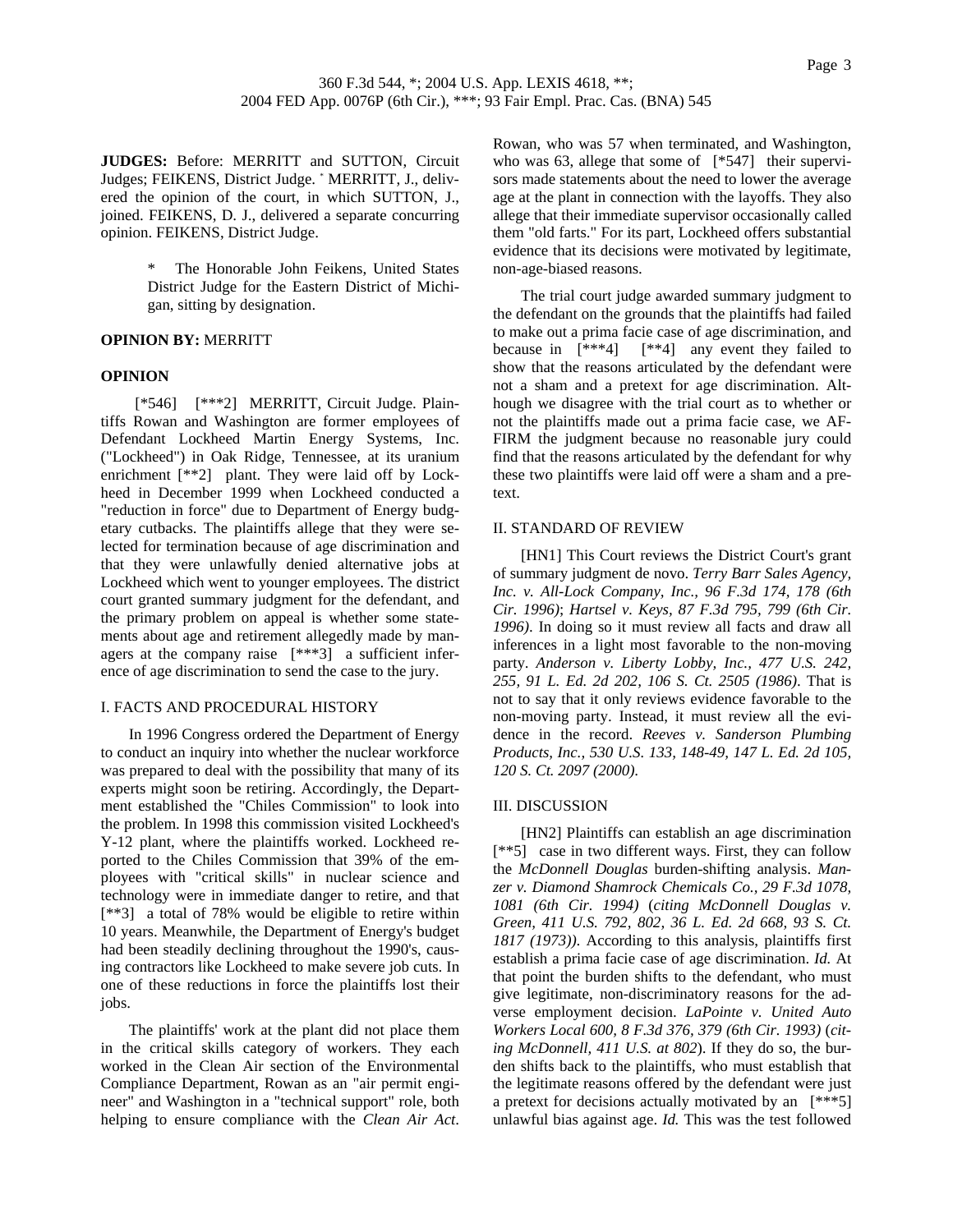**JUDGES:** Before: MERRITT and SUTTON, Circuit Judges; FEIKENS, District Judge. \* MERRITT, J., delivered the opinion of the court, in which SUTTON, J., joined. FEIKENS, D. J., delivered a separate concurring opinion. FEIKENS, District Judge.

> The Honorable John Feikens, United States District Judge for the Eastern District of Michigan, sitting by designation.

#### **OPINION BY:** MERRITT

#### **OPINION**

 [\*546] [\*\*\*2] MERRITT, Circuit Judge. Plaintiffs Rowan and Washington are former employees of Defendant Lockheed Martin Energy Systems, Inc. ("Lockheed") in Oak Ridge, Tennessee, at its uranium enrichment [\*\*2] plant. They were laid off by Lockheed in December 1999 when Lockheed conducted a "reduction in force" due to Department of Energy budgetary cutbacks. The plaintiffs allege that they were selected for termination because of age discrimination and that they were unlawfully denied alternative jobs at Lockheed which went to younger employees. The district court granted summary judgment for the defendant, and the primary problem on appeal is whether some statements about age and retirement allegedly made by managers at the company raise [\*\*\*3] a sufficient inference of age discrimination to send the case to the jury.

#### I. FACTS AND PROCEDURAL HISTORY

In 1996 Congress ordered the Department of Energy to conduct an inquiry into whether the nuclear workforce was prepared to deal with the possibility that many of its experts might soon be retiring. Accordingly, the Department established the "Chiles Commission" to look into the problem. In 1998 this commission visited Lockheed's Y-12 plant, where the plaintiffs worked. Lockheed reported to the Chiles Commission that 39% of the employees with "critical skills" in nuclear science and technology were in immediate danger to retire, and that [\*\*3] a total of 78% would be eligible to retire within 10 years. Meanwhile, the Department of Energy's budget had been steadily declining throughout the 1990's, causing contractors like Lockheed to make severe job cuts. In one of these reductions in force the plaintiffs lost their jobs.

The plaintiffs' work at the plant did not place them in the critical skills category of workers. They each worked in the Clean Air section of the Environmental Compliance Department, Rowan as an "air permit engineer" and Washington in a "technical support" role, both helping to ensure compliance with the *Clean Air Act*. Rowan, who was 57 when terminated, and Washington, who was 63, allege that some of [\*547] their supervisors made statements about the need to lower the average age at the plant in connection with the layoffs. They also allege that their immediate supervisor occasionally called them "old farts." For its part, Lockheed offers substantial evidence that its decisions were motivated by legitimate, non-age-biased reasons.

The trial court judge awarded summary judgment to the defendant on the grounds that the plaintiffs had failed to make out a prima facie case of age discrimination, and because in [\*\*\*4] [\*\*4] any event they failed to show that the reasons articulated by the defendant were not a sham and a pretext for age discrimination. Although we disagree with the trial court as to whether or not the plaintiffs made out a prima facie case, we AF-FIRM the judgment because no reasonable jury could find that the reasons articulated by the defendant for why these two plaintiffs were laid off were a sham and a pretext.

#### II. STANDARD OF REVIEW

[HN1] This Court reviews the District Court's grant of summary judgment de novo. *Terry Barr Sales Agency, Inc. v. All-Lock Company, Inc., 96 F.3d 174, 178 (6th Cir. 1996)*; *Hartsel v. Keys, 87 F.3d 795, 799 (6th Cir. 1996)*. In doing so it must review all facts and draw all inferences in a light most favorable to the non-moving party. *Anderson v. Liberty Lobby, Inc., 477 U.S. 242, 255, 91 L. Ed. 2d 202, 106 S. Ct. 2505 (1986)*. That is not to say that it only reviews evidence favorable to the non-moving party. Instead, it must review all the evidence in the record. *Reeves v. Sanderson Plumbing Products, Inc., 530 U.S. 133, 148-49, 147 L. Ed. 2d 105, 120 S. Ct. 2097 (2000)*.

#### III. DISCUSSION

[HN2] Plaintiffs can establish an age discrimination [\*\*5] case in two different ways. First, they can follow the *McDonnell Douglas* burden-shifting analysis. *Manzer v. Diamond Shamrock Chemicals Co., 29 F.3d 1078, 1081 (6th Cir. 1994)* (*citing McDonnell Douglas v. Green, 411 U.S. 792, 802, 36 L. Ed. 2d 668, 93 S. Ct. 1817 (1973))*. According to this analysis, plaintiffs first establish a prima facie case of age discrimination. *Id.* At that point the burden shifts to the defendant, who must give legitimate, non-discriminatory reasons for the adverse employment decision. *LaPointe v. United Auto Workers Local 600, 8 F.3d 376, 379 (6th Cir. 1993)* (*citing McDonnell, 411 U.S. at 802*). If they do so, the burden shifts back to the plaintiffs, who must establish that the legitimate reasons offered by the defendant were just a pretext for decisions actually motivated by an [\*\*\*5] unlawful bias against age. *Id.* This was the test followed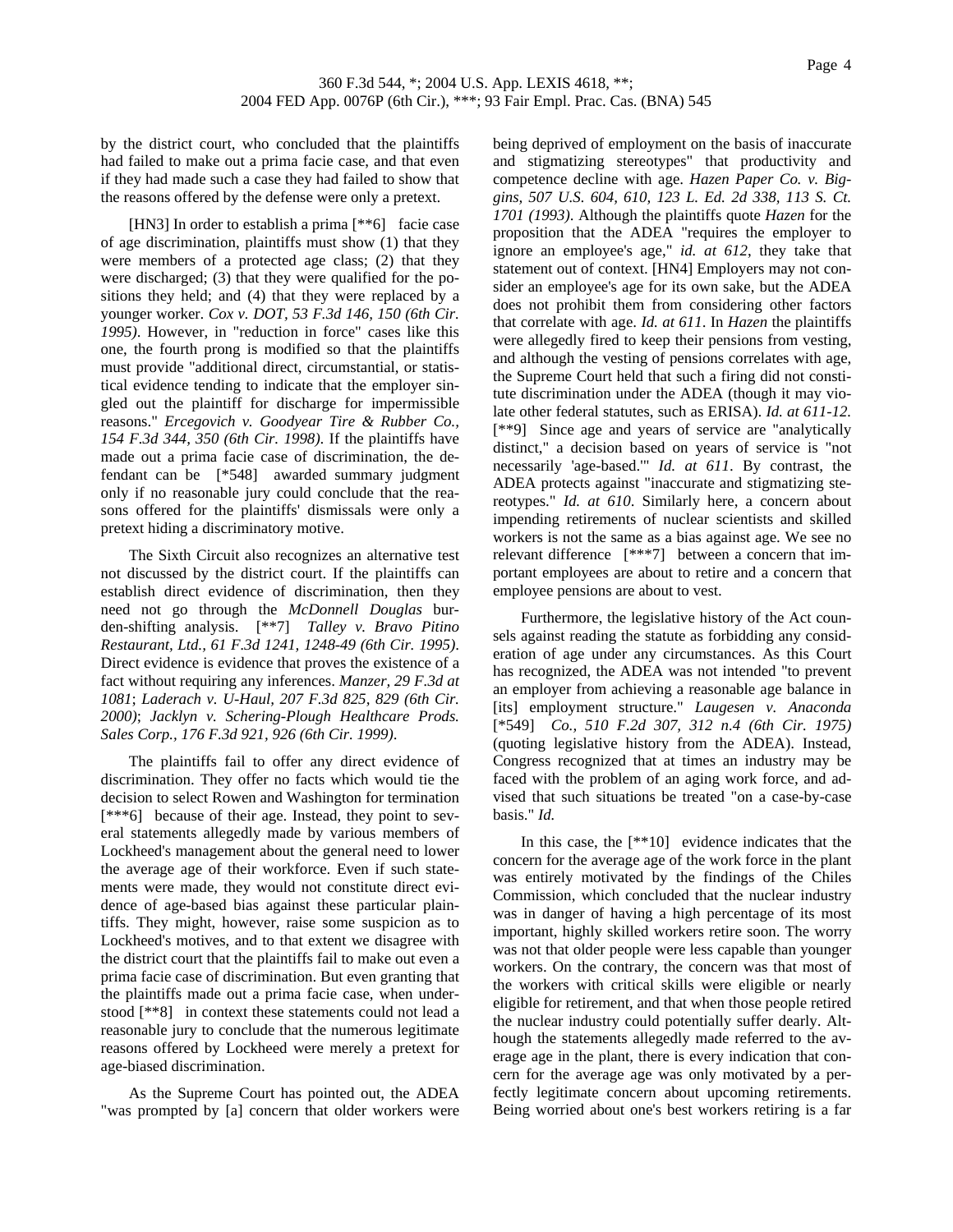by the district court, who concluded that the plaintiffs had failed to make out a prima facie case, and that even if they had made such a case they had failed to show that the reasons offered by the defense were only a pretext.

[HN3] In order to establish a prima [\*\*6] facie case of age discrimination, plaintiffs must show (1) that they were members of a protected age class; (2) that they were discharged; (3) that they were qualified for the positions they held; and (4) that they were replaced by a younger worker. *Cox v. DOT, 53 F.3d 146, 150 (6th Cir. 1995)*. However, in "reduction in force" cases like this one, the fourth prong is modified so that the plaintiffs must provide "additional direct, circumstantial, or statistical evidence tending to indicate that the employer singled out the plaintiff for discharge for impermissible reasons." *Ercegovich v. Goodyear Tire & Rubber Co., 154 F.3d 344, 350 (6th Cir. 1998)*. If the plaintiffs have made out a prima facie case of discrimination, the defendant can be [\*548] awarded summary judgment only if no reasonable jury could conclude that the reasons offered for the plaintiffs' dismissals were only a pretext hiding a discriminatory motive.

The Sixth Circuit also recognizes an alternative test not discussed by the district court. If the plaintiffs can establish direct evidence of discrimination, then they need not go through the *McDonnell Douglas* burden-shifting analysis. [\*\*7] *Talley v. Bravo Pitino Restaurant, Ltd., 61 F.3d 1241, 1248-49 (6th Cir. 1995)*. Direct evidence is evidence that proves the existence of a fact without requiring any inferences. *Manzer, 29 F.3d at 1081*; *Laderach v. U-Haul, 207 F.3d 825, 829 (6th Cir. 2000)*; *Jacklyn v. Schering-Plough Healthcare Prods. Sales Corp., 176 F.3d 921, 926 (6th Cir. 1999)*.

The plaintiffs fail to offer any direct evidence of discrimination. They offer no facts which would tie the decision to select Rowen and Washington for termination [\*\*\*6] because of their age. Instead, they point to several statements allegedly made by various members of Lockheed's management about the general need to lower the average age of their workforce. Even if such statements were made, they would not constitute direct evidence of age-based bias against these particular plaintiffs. They might, however, raise some suspicion as to Lockheed's motives, and to that extent we disagree with the district court that the plaintiffs fail to make out even a prima facie case of discrimination. But even granting that the plaintiffs made out a prima facie case, when understood [\*\*8] in context these statements could not lead a reasonable jury to conclude that the numerous legitimate reasons offered by Lockheed were merely a pretext for age-biased discrimination.

As the Supreme Court has pointed out, the ADEA "was prompted by [a] concern that older workers were being deprived of employment on the basis of inaccurate and stigmatizing stereotypes" that productivity and competence decline with age. *Hazen Paper Co. v. Biggins, 507 U.S. 604, 610, 123 L. Ed. 2d 338, 113 S. Ct. 1701 (1993)*. Although the plaintiffs quote *Hazen* for the proposition that the ADEA "requires the employer to ignore an employee's age," *id. at 612*, they take that statement out of context. [HN4] Employers may not consider an employee's age for its own sake, but the ADEA does not prohibit them from considering other factors that correlate with age. *Id. at 611*. In *Hazen* the plaintiffs were allegedly fired to keep their pensions from vesting, and although the vesting of pensions correlates with age, the Supreme Court held that such a firing did not constitute discrimination under the ADEA (though it may violate other federal statutes, such as ERISA). *Id. at 611-12.* [\*\*9] Since age and years of service are "analytically distinct," a decision based on years of service is "not necessarily 'age-based.'" *Id. at 611*. By contrast, the ADEA protects against "inaccurate and stigmatizing stereotypes." *Id. at 610*. Similarly here, a concern about impending retirements of nuclear scientists and skilled workers is not the same as a bias against age. We see no relevant difference [\*\*\*7] between a concern that important employees are about to retire and a concern that employee pensions are about to vest.

Furthermore, the legislative history of the Act counsels against reading the statute as forbidding any consideration of age under any circumstances. As this Court has recognized, the ADEA was not intended "to prevent an employer from achieving a reasonable age balance in [its] employment structure." *Laugesen v. Anaconda*  [\*549] *Co., 510 F.2d 307, 312 n.4 (6th Cir. 1975)* (quoting legislative history from the ADEA). Instead, Congress recognized that at times an industry may be faced with the problem of an aging work force, and advised that such situations be treated "on a case-by-case basis." *Id.*

In this case, the  $[**10]$  evidence indicates that the concern for the average age of the work force in the plant was entirely motivated by the findings of the Chiles Commission, which concluded that the nuclear industry was in danger of having a high percentage of its most important, highly skilled workers retire soon. The worry was not that older people were less capable than younger workers. On the contrary, the concern was that most of the workers with critical skills were eligible or nearly eligible for retirement, and that when those people retired the nuclear industry could potentially suffer dearly. Although the statements allegedly made referred to the average age in the plant, there is every indication that concern for the average age was only motivated by a perfectly legitimate concern about upcoming retirements. Being worried about one's best workers retiring is a far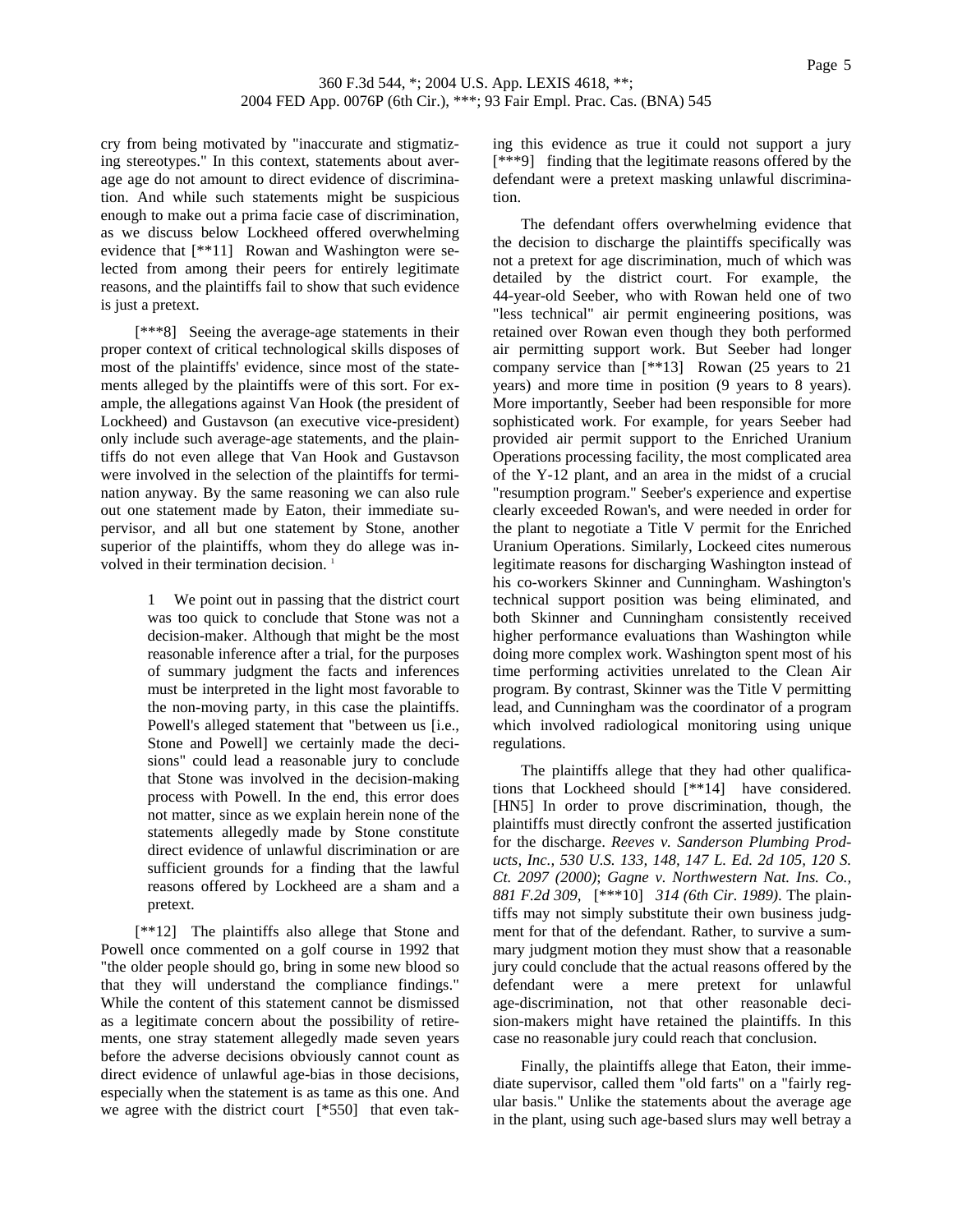cry from being motivated by "inaccurate and stigmatizing stereotypes." In this context, statements about average age do not amount to direct evidence of discrimination. And while such statements might be suspicious enough to make out a prima facie case of discrimination, as we discuss below Lockheed offered overwhelming evidence that [\*\*11] Rowan and Washington were selected from among their peers for entirely legitimate reasons, and the plaintiffs fail to show that such evidence is just a pretext.

 [\*\*\*8] Seeing the average-age statements in their proper context of critical technological skills disposes of most of the plaintiffs' evidence, since most of the statements alleged by the plaintiffs were of this sort. For example, the allegations against Van Hook (the president of Lockheed) and Gustavson (an executive vice-president) only include such average-age statements, and the plaintiffs do not even allege that Van Hook and Gustavson were involved in the selection of the plaintiffs for termination anyway. By the same reasoning we can also rule out one statement made by Eaton, their immediate supervisor, and all but one statement by Stone, another superior of the plaintiffs, whom they do allege was involved in their termination decision.<sup>1</sup>

> 1 We point out in passing that the district court was too quick to conclude that Stone was not a decision-maker. Although that might be the most reasonable inference after a trial, for the purposes of summary judgment the facts and inferences must be interpreted in the light most favorable to the non-moving party, in this case the plaintiffs. Powell's alleged statement that "between us [i.e., Stone and Powell] we certainly made the decisions" could lead a reasonable jury to conclude that Stone was involved in the decision-making process with Powell. In the end, this error does not matter, since as we explain herein none of the statements allegedly made by Stone constitute direct evidence of unlawful discrimination or are sufficient grounds for a finding that the lawful reasons offered by Lockheed are a sham and a pretext.

 [\*\*12] The plaintiffs also allege that Stone and Powell once commented on a golf course in 1992 that "the older people should go, bring in some new blood so that they will understand the compliance findings." While the content of this statement cannot be dismissed as a legitimate concern about the possibility of retirements, one stray statement allegedly made seven years before the adverse decisions obviously cannot count as direct evidence of unlawful age-bias in those decisions, especially when the statement is as tame as this one. And we agree with the district court [\*550] that even taking this evidence as true it could not support a jury [\*\*\*9] finding that the legitimate reasons offered by the defendant were a pretext masking unlawful discrimination.

The defendant offers overwhelming evidence that the decision to discharge the plaintiffs specifically was not a pretext for age discrimination, much of which was detailed by the district court. For example, the 44-year-old Seeber, who with Rowan held one of two "less technical" air permit engineering positions, was retained over Rowan even though they both performed air permitting support work. But Seeber had longer company service than [\*\*13] Rowan (25 years to 21 years) and more time in position (9 years to 8 years). More importantly, Seeber had been responsible for more sophisticated work. For example, for years Seeber had provided air permit support to the Enriched Uranium Operations processing facility, the most complicated area of the Y-12 plant, and an area in the midst of a crucial "resumption program." Seeber's experience and expertise clearly exceeded Rowan's, and were needed in order for the plant to negotiate a Title V permit for the Enriched Uranium Operations. Similarly, Lockeed cites numerous legitimate reasons for discharging Washington instead of his co-workers Skinner and Cunningham. Washington's technical support position was being eliminated, and both Skinner and Cunningham consistently received higher performance evaluations than Washington while doing more complex work. Washington spent most of his time performing activities unrelated to the Clean Air program. By contrast, Skinner was the Title V permitting lead, and Cunningham was the coordinator of a program which involved radiological monitoring using unique regulations.

The plaintiffs allege that they had other qualifications that Lockheed should [\*\*14] have considered. [HN5] In order to prove discrimination, though, the plaintiffs must directly confront the asserted justification for the discharge. *Reeves v. Sanderson Plumbing Products, Inc., 530 U.S. 133, 148, 147 L. Ed. 2d 105, 120 S. Ct. 2097 (2000)*; *Gagne v. Northwestern Nat. Ins. Co., 881 F.2d 309,* [\*\*\*10] *314 (6th Cir. 1989)*. The plaintiffs may not simply substitute their own business judgment for that of the defendant. Rather, to survive a summary judgment motion they must show that a reasonable jury could conclude that the actual reasons offered by the defendant were a mere pretext for unlawful age-discrimination, not that other reasonable decision-makers might have retained the plaintiffs. In this case no reasonable jury could reach that conclusion.

Finally, the plaintiffs allege that Eaton, their immediate supervisor, called them "old farts" on a "fairly regular basis." Unlike the statements about the average age in the plant, using such age-based slurs may well betray a